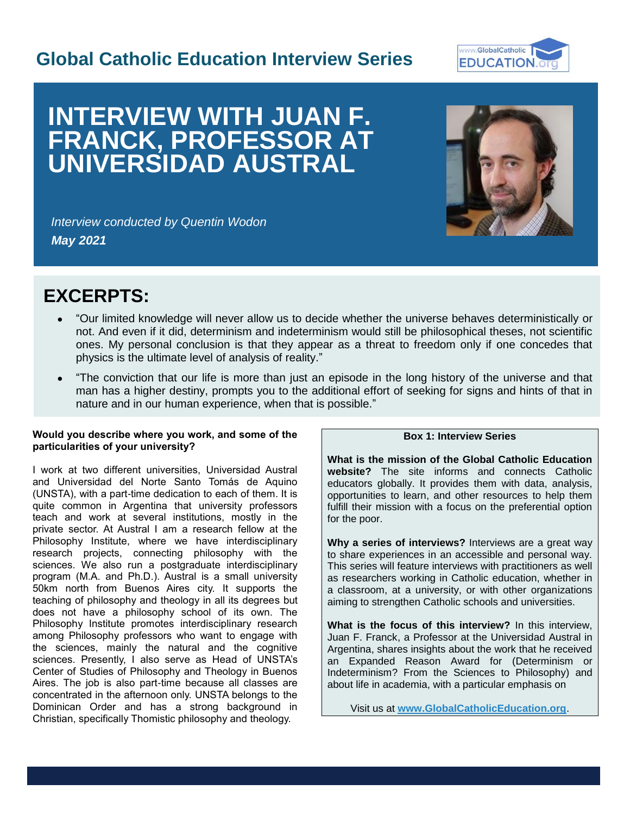## **Global Catholic Education Interview Series**



# **INTERVIEW WITH JUAN F. FRANCK, PROFESSOR AT UNIVERSIDAD AUSTRAL**



*Interview conducted by Quentin Wodon May 2021*

## **EXCERPTS:**

- "Our limited knowledge will never allow us to decide whether the universe behaves deterministically or not. And even if it did, determinism and indeterminism would still be philosophical theses, not scientific ones. My personal conclusion is that they appear as a threat to freedom only if one concedes that physics is the ultimate level of analysis of reality."
- "The conviction that our life is more than just an episode in the long history of the universe and that man has a higher destiny, prompts you to the additional effort of seeking for signs and hints of that in nature and in our human experience, when that is possible."

#### **Would you describe where you work, and some of the particularities of your university?**

I work at two different universities, Universidad Austral and Universidad del Norte Santo Tomás de Aquino (UNSTA), with a part-time dedication to each of them. It is quite common in Argentina that university professors teach and work at several institutions, mostly in the private sector. At Austral I am a research fellow at the Philosophy Institute, where we have interdisciplinary research projects, connecting philosophy with the sciences. We also run a postgraduate interdisciplinary program (M.A. and Ph.D.). Austral is a small university 50km north from Buenos Aires city. It supports the teaching of philosophy and theology in all its degrees but does not have a philosophy school of its own. The Philosophy Institute promotes interdisciplinary research among Philosophy professors who want to engage with the sciences, mainly the natural and the cognitive sciences. Presently, I also serve as Head of UNSTA's Center of Studies of Philosophy and Theology in Buenos Aires. The job is also part-time because all classes are concentrated in the afternoon only. UNSTA belongs to the Dominican Order and has a strong background in Christian, specifically Thomistic philosophy and theology.

### **Box 1: Interview Series**

**What is the mission of the Global Catholic Education website?** The site informs and connects Catholic educators globally. It provides them with data, analysis, opportunities to learn, and other resources to help them fulfill their mission with a focus on the preferential option for the poor.

**Why a series of interviews?** Interviews are a great way to share experiences in an accessible and personal way. This series will feature interviews with practitioners as well as researchers working in Catholic education, whether in a classroom, at a university, or with other organizations aiming to strengthen Catholic schools and universities.

**What is the focus of this interview?** In this interview, Juan F. Franck, a Professor at the Universidad Austral in Argentina, shares insights about the work that he received an Expanded Reason Award for (Determinism or Indeterminism? From the Sciences to Philosophy) and about life in academia, with a particular emphasis on

Visit us at **[www.GlobalCatholicEducation.org](http://www.globalcatholiceducation.org/)**.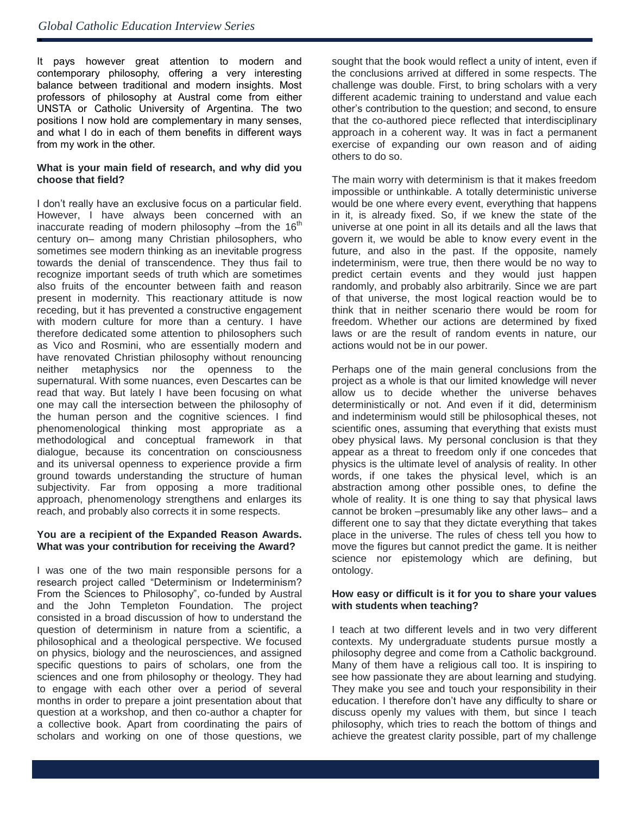ė

It pays however great attention to modern and contemporary philosophy, offering a very interesting balance between traditional and modern insights. Most professors of philosophy at Austral come from either UNSTA or Catholic University of Argentina. The two positions I now hold are complementary in many senses, and what I do in each of them benefits in different ways from my work in the other.

#### **What is your main field of research, and why did you choose that field?**

I don't really have an exclusive focus on a particular field. However, I have always been concerned with an inaccurate reading of modern philosophy –from the  $16<sup>th</sup>$ century on– among many Christian philosophers, who sometimes see modern thinking as an inevitable progress towards the denial of transcendence. They thus fail to recognize important seeds of truth which are sometimes also fruits of the encounter between faith and reason present in modernity. This reactionary attitude is now receding, but it has prevented a constructive engagement with modern culture for more than a century. I have therefore dedicated some attention to philosophers such as Vico and Rosmini, who are essentially modern and have renovated Christian philosophy without renouncing neither metaphysics nor the openness to the supernatural. With some nuances, even Descartes can be read that way. But lately I have been focusing on what one may call the intersection between the philosophy of the human person and the cognitive sciences. I find phenomenological thinking most appropriate as a methodological and conceptual framework in that dialogue, because its concentration on consciousness and its universal openness to experience provide a firm ground towards understanding the structure of human subjectivity. Far from opposing a more traditional approach, phenomenology strengthens and enlarges its reach, and probably also corrects it in some respects.

#### **You are a recipient of the Expanded Reason Awards. What was your contribution for receiving the Award?**

I was one of the two main responsible persons for a research project called "Determinism or Indeterminism? From the Sciences to Philosophy", co-funded by Austral and the John Templeton Foundation. The project consisted in a broad discussion of how to understand the question of determinism in nature from a scientific, a philosophical and a theological perspective. We focused on physics, biology and the neurosciences, and assigned specific questions to pairs of scholars, one from the sciences and one from philosophy or theology. They had to engage with each other over a period of several months in order to prepare a joint presentation about that question at a workshop, and then co-author a chapter for a collective book. Apart from coordinating the pairs of scholars and working on one of those questions, we

sought that the book would reflect a unity of intent, even if the conclusions arrived at differed in some respects. The challenge was double. First, to bring scholars with a very different academic training to understand and value each other's contribution to the question; and second, to ensure that the co-authored piece reflected that interdisciplinary approach in a coherent way. It was in fact a permanent exercise of expanding our own reason and of aiding others to do so.

The main worry with determinism is that it makes freedom impossible or unthinkable. A totally deterministic universe would be one where every event, everything that happens in it, is already fixed. So, if we knew the state of the universe at one point in all its details and all the laws that govern it, we would be able to know every event in the future, and also in the past. If the opposite, namely indeterminism, were true, then there would be no way to predict certain events and they would just happen randomly, and probably also arbitrarily. Since we are part of that universe, the most logical reaction would be to think that in neither scenario there would be room for freedom. Whether our actions are determined by fixed laws or are the result of random events in nature, our actions would not be in our power.

Perhaps one of the main general conclusions from the project as a whole is that our limited knowledge will never allow us to decide whether the universe behaves deterministically or not. And even if it did, determinism and indeterminism would still be philosophical theses, not scientific ones, assuming that everything that exists must obey physical laws. My personal conclusion is that they appear as a threat to freedom only if one concedes that physics is the ultimate level of analysis of reality. In other words, if one takes the physical level, which is an abstraction among other possible ones, to define the whole of reality. It is one thing to say that physical laws cannot be broken –presumably like any other laws– and a different one to say that they dictate everything that takes place in the universe. The rules of chess tell you how to move the figures but cannot predict the game. It is neither science nor epistemology which are defining, but ontology.

#### **How easy or difficult is it for you to share your values with students when teaching?**

I teach at two different levels and in two very different contexts. My undergraduate students pursue mostly a philosophy degree and come from a Catholic background. Many of them have a religious call too. It is inspiring to see how passionate they are about learning and studying. They make you see and touch your responsibility in their education. I therefore don't have any difficulty to share or discuss openly my values with them, but since I teach philosophy, which tries to reach the bottom of things and achieve the greatest clarity possible, part of my challenge